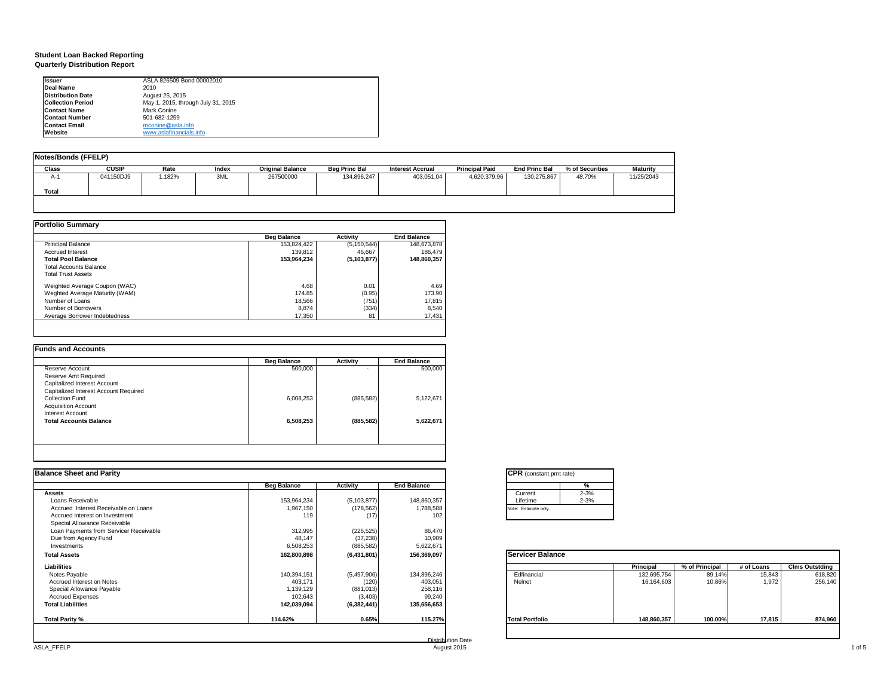### **Student Loan Backed Reporting Quarterly Distribution Report**

| <b>Issuer</b>            | ASLA 826509 Bond 00002010          |  |
|--------------------------|------------------------------------|--|
| Deal Name                | 2010                               |  |
| <b>Distribution Date</b> | August 25, 2015                    |  |
| <b>Collection Period</b> | May 1, 2015, through July 31, 2015 |  |
| <b>Contact Name</b>      | Mark Conine                        |  |
| <b>Contact Number</b>    | 501-682-1259                       |  |
| <b>Contact Email</b>     | mconine@asla.info                  |  |
| Website                  | www.aslafinancials.info            |  |

| Notes/Bonds (FFELP) |              |        |       |                         |                      |                         |                       |                      |                 |                 |
|---------------------|--------------|--------|-------|-------------------------|----------------------|-------------------------|-----------------------|----------------------|-----------------|-----------------|
| Class               | <b>CUSIP</b> | Rate   | Index | <b>Original Balance</b> | <b>Beg Princ Bal</b> | <b>Interest Accrual</b> | <b>Principal Paid</b> | <b>End Princ Bal</b> | % of Securities | <b>Maturity</b> |
| A-1                 | 041150DJ9    | 1.182% | 3ML   | 267500000               | 134,896,247          | 403.051.04              | 4,620,379.96          | 130.275.867          | 48.70%          | 11/25/2043      |
| Total               |              |        |       |                         |                      |                         |                       |                      |                 |                 |
|                     |              |        |       |                         |                      |                         |                       |                      |                 |                 |

|                                | <b>Beg Balance</b> | <b>Activity</b> | <b>End Balance</b> |
|--------------------------------|--------------------|-----------------|--------------------|
| <b>Principal Balance</b>       | 153,824,422        | (5, 150, 544)   | 148.673.878        |
| <b>Accrued Interest</b>        | 139,812            | 46.667          | 186.479            |
| <b>Total Pool Balance</b>      | 153,964,234        | (5, 103, 877)   | 148,860,357        |
| <b>Total Accounts Balance</b>  |                    |                 |                    |
| <b>Total Trust Assets</b>      |                    |                 |                    |
| Weighted Average Coupon (WAC)  | 4.68               | 0.01            | 4.69               |
| Weghted Average Maturity (WAM) | 174.85             | (0.95)          | 173.90             |
| Number of Loans                | 18,566             | (751)           | 17,815             |
| Number of Borrowers            | 8,874              | (334)           | 8.540              |
| Average Borrower Indebtedness  | 17,350             | 81              | 17,431             |

|                                       | <b>Beg Balance</b> | <b>Activity</b> | <b>End Balance</b> |
|---------------------------------------|--------------------|-----------------|--------------------|
| Reserve Account                       | 500,000            | ۰               | 500,000            |
| Reserve Amt Required                  |                    |                 |                    |
| Capitalized Interest Account          |                    |                 |                    |
| Capitalized Interest Account Required |                    |                 |                    |
| Collection Fund                       | 6,008,253          | (885, 582)      | 5,122,671          |
| <b>Acquisition Account</b>            |                    |                 |                    |
| Interest Account                      |                    |                 |                    |
| <b>Total Accounts Balance</b>         | 6,508,253          | (885, 582)      | 5.622.671          |
|                                       |                    |                 |                    |
|                                       |                    |                 |                    |

| <b>Balance Sheet and Parity</b>        |                    |               |                    | <b>CPR</b> (constant pmt rate)                                        |
|----------------------------------------|--------------------|---------------|--------------------|-----------------------------------------------------------------------|
|                                        | <b>Beg Balance</b> | Activity      | <b>End Balance</b> | $\%$                                                                  |
| <b>Assets</b>                          |                    |               |                    | $2 - 3%$<br>Current                                                   |
| Loans Receivable                       | 153,964,234        | (5, 103, 877) | 148,860,357        | $2 - 3%$<br>Lifetime                                                  |
| Accrued Interest Receivable on Loans   | 1,967,150          | (178, 562)    | 1,788,588          | Note: Estimate only.                                                  |
| Accrued Interest on Investment         | 119                | (17)          | 102                |                                                                       |
| Special Allowance Receivable           |                    |               |                    |                                                                       |
| Loan Payments from Servicer Receivable | 312,995            | (226, 525)    | 86,470             |                                                                       |
| Due from Agency Fund                   | 48,147             | (37, 238)     | 10,909             |                                                                       |
| Investments                            | 6,508,253          | (885, 582)    | 5,622,671          |                                                                       |
| <b>Total Assets</b>                    | 162,800,898        | (6,431,801)   | 156,369,097        | Servicer Balance                                                      |
| Liabilities                            |                    |               |                    | % of Principal<br><b>Clms Outstding</b><br>Principal<br># of Loans    |
| Notes Payable                          | 140,394,151        | (5,497,906)   | 134,896,246        | Edfinancial<br>132,695,754<br>618,820<br>89.14%<br>15,843             |
| Accrued Interest on Notes              | 403,171            | (120)         | 403,051            | 1.972<br>Nelnet<br>10.86%<br>256,140<br>16,164,603                    |
| Special Allowance Payable              | 1,139,129          | (881, 013)    | 258,116            |                                                                       |
| <b>Accrued Expenses</b>                | 102,643            | (3, 403)      | 99,240             |                                                                       |
| <b>Total Liabilities</b>               | 142,039,094        | (6,382,441)   | 135,656,653        |                                                                       |
| Total Parity %                         | 114.62%            | 0.65%         | 115.27%            | 100.00%<br>17,815<br>874,960<br><b>Total Portfolio</b><br>148,860,357 |
|                                        |                    |               |                    |                                                                       |

|          | %        |
|----------|----------|
| Current  | $2 - 3%$ |
| Lifetime | $2 - 3%$ |

|                        | Principal   | % of Principal | # of Loans | <b>Clms Outstding</b> |
|------------------------|-------------|----------------|------------|-----------------------|
| Edfinancial            | 132,695,754 | 89.14%         | 15,843     | 618,820               |
| Nelnet                 | 16,164,603  | 10.86%         | 1,972      | 256,140               |
| <b>Total Portfolio</b> | 148,860,357 | 100.00%        | 17,815     | 874.960               |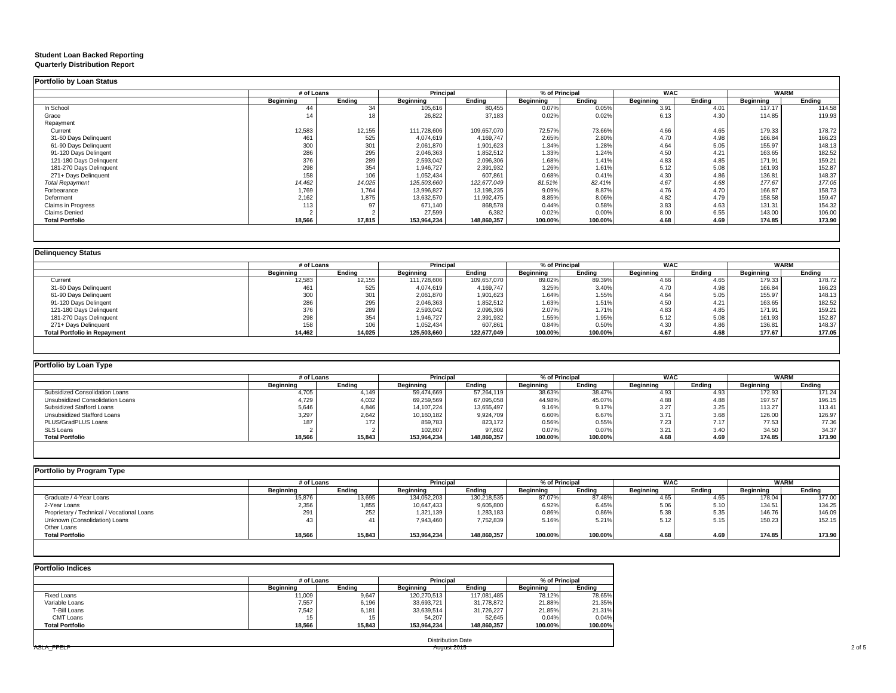#### **Student Loan Backed Reporting Quarterly Distribution Report**

### **Portfolio by Loan Status**

ASLA\_FFELP

|                         | # of Loans |        | <b>Principal</b> |             | % of Principal |         | <b>WAC</b> |        | <b>WARM</b> |        |
|-------------------------|------------|--------|------------------|-------------|----------------|---------|------------|--------|-------------|--------|
|                         | Beginning  | Ending | Beginning        | Ending      | Beginning      | Ending  | Beginning  | Ending | Beginning   | Ending |
| In School               | 44         | 34     | 105,616          | 80,455      | 0.07%          | 0.05%   | 3.91       | 4.01   | 117.17      | 114.58 |
| Grace                   |            |        | 26,822           | 37,183      | 0.02%          | 0.02%   | 6.13       | 4.30   | 114.85      | 119.93 |
| Repayment               |            |        |                  |             |                |         |            |        |             |        |
| Current                 | 12,583     | 12,155 | 111,728,606      | 109,657,070 | 72.57%         | 73.66%  | 4.66       | 4.65   | 179.33      | 178.72 |
| 31-60 Days Delinquent   | 461        | 525    | 4,074,619        | 4,169,747   | 2.65%          | 2.80%   | 4.70       | 4.98   | 166.84      | 166.23 |
| 61-90 Days Delinquent   | 300        | 301    | 2,061,870        | 1,901,623   | 1.34%          | 1.28%   | 4.64       | 5.05   | 155.97      | 148.13 |
| 91-120 Days Delingent   | 286        | 295    | 2,046,363        | 1,852,512   | 1.33%          | 1.24%   | 4.50       | 4.21   | 163.65      | 182.52 |
| 121-180 Days Delinquent | 376        | 289    | 2,593,042        | 2,096,306   | 1.68%          | 1.41%   | 4.83       | 4.85   | 171.91      | 159.21 |
| 181-270 Days Delinquent | 298        | 354    | 1,946,727        | 2,391,932   | 1.26%          | 1.61%   | 5.12       | 5.08   | 161.93      | 152.87 |
| 271+ Days Delinquent    | 158        | 106    | 1,052,434        | 607,861     | 0.68%          | 0.41%   | 4.30       | 4.86   | 136.81      | 148.37 |
| <b>Total Repayment</b>  | 14,462     | 14,025 | 125,503,660      | 122,677,049 | 81.51%         | 82.41%  | 4.67       | 4.68   | 177.67      | 177.05 |
| Forbearance             | 1,769      | 1,764  | 13,996,827       | 13,198,235  | 9.09%          | 8.87%   | 4.76       | 4.70   | 166.87      | 158.73 |
| Deferment               | 2,162      | 1,875  | 13,632,570       | 11,992,475  | 8.85%          | 8.06%   | 4.82       | 4.79   | 158.58      | 159.47 |
| Claims in Progress      | 113        | 97     | 671,140          | 868,578     | 0.44%          | 0.58%   | 3.83       | 4.63   | 131.31      | 154.32 |
| <b>Claims Denied</b>    |            |        | 27,599           | 6,382       | 0.02%          | 0.00%   | 8.00       | 6.55   | 143.00      | 106.00 |
| <b>Total Portfolio</b>  | 18,566     | 17,815 | 153,964,234      | 148,860,357 | 100.00%        | 100.00% | 4.68       | 4.69   | 174.85      | 173.90 |

| <b>Delinquency Status</b>           |            |        |                  |             |                  |         |            |        |                  |        |
|-------------------------------------|------------|--------|------------------|-------------|------------------|---------|------------|--------|------------------|--------|
|                                     | # of Loans |        | <b>Principal</b> |             | % of Principal   |         | <b>WAC</b> |        | <b>WARM</b>      |        |
|                                     | Beginning  | Endina | Beginning        | Endina      | <b>Beginning</b> | Endina  | Beginning  | Ending | <b>Beginning</b> | Ending |
| Current                             | 12,583     | 12,155 | 111,728,606      | 109,657,070 | 89.02%           | 89.39%  | 4.66       | 4.65   | 179.33           | 178.72 |
| 31-60 Days Delinquent               | 46         | 525    | 4,074,619        | 4,169,747   | 3.25%            | 3.40%   | 4.70       | 4.98   | 166.84           | 166.23 |
| 61-90 Days Delinquent               | 300        | 301    | 2,061,870        | 1,901,623   | 1.64%            | 1.55%   | 4.64       | 5.05   | 155.97           | 148.13 |
| 91-120 Days Delingent               | 286        | 295    | 2,046,363        | 1,852,512   | 1.63%            | 1.51%   | 4.50       | 4.21   | 163.65           | 182.52 |
| 121-180 Days Delinquent             | 376        | 289    | 2,593,042        | 2,096,306   | 2.07%            | 1.71%   | 4.83       | 4.85   | 171.91           | 159.21 |
| 181-270 Days Delinquent             | 298        | 354    | 1,946,727        | 2,391,932   | 1.55%            | 1.95%   | 5.12       | 5.08   | 161.93           | 152.87 |
| 271+ Days Delinquent                | 158        | 106    | 1,052,434        | 607,861     | 0.84%            | 0.50%   | 4.30       | 4.86   | 136.81           | 148.37 |
| <b>Total Portfolio in Repayment</b> | 14,462     | 14,025 | 125,503,660      | 122,677,049 | 100.00%          | 100.00% | 4.67       | 4.68   | 177.67           | 177.05 |

| Portfolio by Loan Type           |                  |        |              |             |           |                |           |            |           |             |  |
|----------------------------------|------------------|--------|--------------|-------------|-----------|----------------|-----------|------------|-----------|-------------|--|
|                                  | # of Loans       |        | Principal    |             |           | % of Principal |           | <b>WAC</b> |           | <b>WARM</b> |  |
|                                  | <b>Beainning</b> | Endina | Beainnina    | Endina      | Beainnina | Endina         | Beainnina | Endina     | Beainnina | Endina      |  |
| Subsidized Consolidation Loans   | 4,705            | 4,149  | 59,474,669   | 57,264,119  | 38.63%    | 38.47%         | 4.93      | 4.93       | 172.93    | 171.24      |  |
| Unsubsidized Consolidation Loans | 4,729            | 4,032  | 69,259,569   | 67,095,058  | 44.98%    | 45.07%         | 4.88      | 4.88       | 197.57    | 196.15      |  |
| Subsidized Stafford Loans        | 5,646            | 4,846  | 14, 107, 224 | 13,655,497  | 9.16%     | 9.17%          | 3.27      | 3.25       | 113.27    | 113.41      |  |
| Unsubsidized Stafford Loans      | 3.297            | 2.642  | 10,160,182   | 9,924,709   | 6.60%     | 6.67%          | 3.71      | 3.68       | 126.00    | 126.97      |  |
| PLUS/GradPLUS Loans              | 187              | 172    | 859,783      | 823,172     | 0.56%     | 0.55%          | 7.23      | 7.17       | 77.53     | 77.36       |  |
| <b>SLS Loans</b>                 |                  |        | 102,807      | 97,802      | 0.07%     | 0.07%          | 3.21      | 3.40       | 34.50     | 34.37       |  |
| <b>Total Portfolio</b>           | 18,566           | 15,843 | 153.964.234  | 148,860,357 | 100.00%   | 100.00%        | 4.68      | 4.69       | 174.85    | 173.90      |  |
|                                  |                  |        |              |             |           |                |           |            |           |             |  |

| Portfolio by Program Type                  |                  |        |                  |             |                  |         |                  |        |             |        |
|--------------------------------------------|------------------|--------|------------------|-------------|------------------|---------|------------------|--------|-------------|--------|
|                                            | # of Loans       |        | <b>Principal</b> |             | % of Principal   |         | <b>WAC</b>       |        | <b>WARM</b> |        |
|                                            | <b>Beginning</b> | Endina | <b>Beginning</b> | Ending      | <b>Beginning</b> | Ending  | <b>Beginning</b> | Endina | Beginning   | Endina |
| Graduate / 4-Year Loans                    | 15,876           | 13,695 | 134,052,203      | 130,218,535 | 87.07%           | 87.48%  | 4.65             | 4.65   | 178.04      | 177.00 |
| 2-Year Loans                               | 2,356            | 1,855  | 10,647,433       | 9,605,800   | 6.92%            | 6.45%   | 5.06             | 5.10   | 134.51      | 134.25 |
| Proprietary / Technical / Vocational Loans | 204<br>∠ษ        | 252    | 1,321,139        | 1,283,183   | 0.86%            | 0.86%   | 5.38             | 5.35   | 146.76      | 146.09 |
| Unknown (Consolidation) Loans              |                  |        | 7,943,460        | 7,752,839   | 5.16%            | 5.21%   | 5.12             | 5.15   | 150.23      | 152.15 |
| Other Loans                                |                  |        |                  |             |                  |         |                  |        |             |        |
| <b>Total Portfolio</b>                     | 18,566           | 15,843 | 153,964,234      | 148.860.357 | 100.00%          | 100.00% | 4.68             | 4.69   | 174.85      | 173.90 |

Distribution Date

| <b>Portfolio Indices</b> |            |        |                  |             |                  |         |  |
|--------------------------|------------|--------|------------------|-------------|------------------|---------|--|
|                          | # of Loans |        | Principal        |             | % of Principal   |         |  |
|                          | Beginning  | Endina | <b>Beainning</b> | Endina      | <b>Beginning</b> | Endina  |  |
| Fixed Loans              | 11,009     | 9,647  | 120.270.513      | 117,081,485 | 78.12%           | 78.65%  |  |
| Variable Loans           | 7,557      | 6.196  | 33,693,721       | 31.778.872  | 21.88%           | 21.35%  |  |
| T-Bill Loans             | 7,542      | 6.181  | 33,639,514       | 31.726.227  | 21.85%           | 21.31%  |  |
| CMT Loans                | 15         | 15     | 54.207           | 52.645      | 0.04%            | 0.04%   |  |
| <b>Total Portfolio</b>   | 18,566     | 15,843 | 153,964,234      | 148,860,357 | 100.00%          | 100.00% |  |
|                          |            |        |                  |             |                  |         |  |

|             | <b>Service Controllers</b> |
|-------------|----------------------------|
| August 2015 | $-1$<br>$\cdots$           |
| . .         |                            |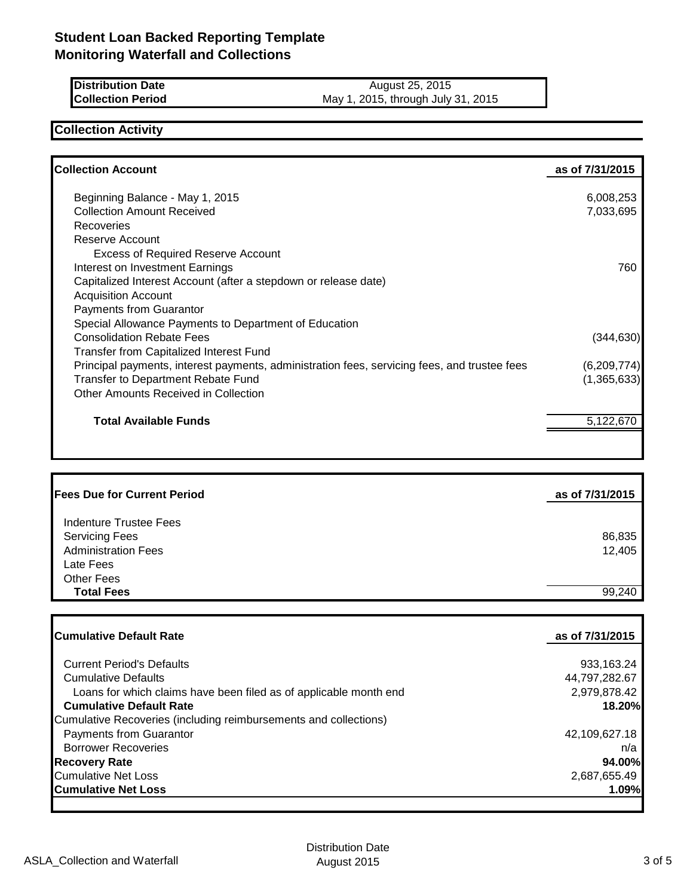| <b>Distribution Date</b> | August 25, 2015                    |
|--------------------------|------------------------------------|
| <b>Collection Period</b> | May 1, 2015, through July 31, 2015 |

## **Collection Activity**

| <b>Collection Account</b>                                                                    | as of 7/31/2015 |
|----------------------------------------------------------------------------------------------|-----------------|
| Beginning Balance - May 1, 2015                                                              | 6,008,253       |
| <b>Collection Amount Received</b>                                                            | 7,033,695       |
| <b>Recoveries</b>                                                                            |                 |
| Reserve Account                                                                              |                 |
| <b>Excess of Required Reserve Account</b>                                                    |                 |
| Interest on Investment Earnings                                                              | 760             |
| Capitalized Interest Account (after a stepdown or release date)                              |                 |
| <b>Acquisition Account</b>                                                                   |                 |
| <b>Payments from Guarantor</b>                                                               |                 |
| Special Allowance Payments to Department of Education                                        |                 |
| <b>Consolidation Rebate Fees</b>                                                             | (344,630)       |
| <b>Transfer from Capitalized Interest Fund</b>                                               |                 |
| Principal payments, interest payments, administration fees, servicing fees, and trustee fees | (6,209,774)     |
| Transfer to Department Rebate Fund                                                           | (1,365,633)     |
| Other Amounts Received in Collection                                                         |                 |
| <b>Total Available Funds</b>                                                                 | 5,122,670       |

| <b>Fees Due for Current Period</b> | as of 7/31/2015 |
|------------------------------------|-----------------|
| Indenture Trustee Fees             |                 |
| <b>Servicing Fees</b>              | 86,835          |
| <b>Administration Fees</b>         | 12,405          |
| Late Fees                          |                 |
| <b>Other Fees</b>                  |                 |
| <b>Total Fees</b>                  | 99,240          |

| <b>Cumulative Default Rate</b>                                    | as of 7/31/2015 |
|-------------------------------------------------------------------|-----------------|
| <b>Current Period's Defaults</b>                                  | 933,163.24      |
| <b>Cumulative Defaults</b>                                        | 44,797,282.67   |
| Loans for which claims have been filed as of applicable month end | 2,979,878.42    |
| <b>Cumulative Default Rate</b>                                    | 18.20%          |
| Cumulative Recoveries (including reimbursements and collections)  |                 |
| Payments from Guarantor                                           | 42,109,627.18   |
| <b>Borrower Recoveries</b>                                        | n/a             |
| <b>Recovery Rate</b>                                              | 94.00%          |
| <b>Cumulative Net Loss</b>                                        | 2,687,655.49    |
| <b>Cumulative Net Loss</b>                                        | 1.09%           |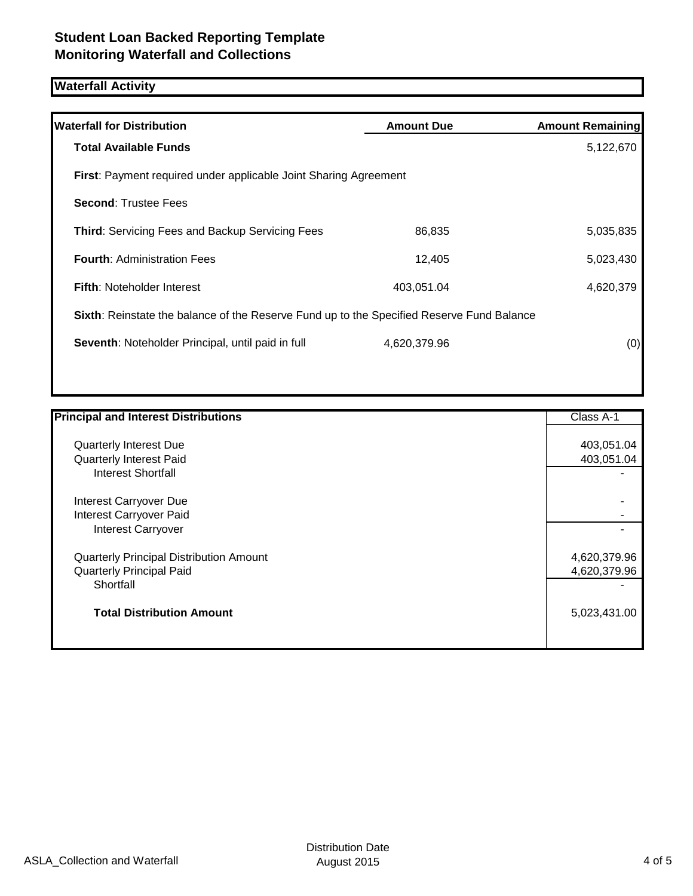# **Waterfall Activity**

| <b>Waterfall for Distribution</b>                                                         | <b>Amount Due</b> | <b>Amount Remaining</b> |
|-------------------------------------------------------------------------------------------|-------------------|-------------------------|
| <b>Total Available Funds</b>                                                              |                   | 5,122,670               |
| First: Payment required under applicable Joint Sharing Agreement                          |                   |                         |
| <b>Second: Trustee Fees</b>                                                               |                   |                         |
| <b>Third: Servicing Fees and Backup Servicing Fees</b>                                    | 86,835            | 5,035,835               |
| <b>Fourth: Administration Fees</b>                                                        | 12,405            | 5,023,430               |
| <b>Fifth:</b> Noteholder Interest                                                         | 403,051.04        | 4,620,379               |
| Sixth: Reinstate the balance of the Reserve Fund up to the Specified Reserve Fund Balance |                   |                         |
| Seventh: Noteholder Principal, until paid in full                                         | 4,620,379.96      | (0)                     |
|                                                                                           |                   |                         |

| <b>Principal and Interest Distributions</b>    | Class A-1    |
|------------------------------------------------|--------------|
| <b>Quarterly Interest Due</b>                  | 403,051.04   |
| Quarterly Interest Paid                        | 403,051.04   |
| <b>Interest Shortfall</b>                      |              |
| Interest Carryover Due                         |              |
| Interest Carryover Paid                        |              |
| Interest Carryover                             |              |
| <b>Quarterly Principal Distribution Amount</b> | 4,620,379.96 |
| <b>Quarterly Principal Paid</b>                | 4,620,379.96 |
| Shortfall                                      |              |
| <b>Total Distribution Amount</b>               | 5,023,431.00 |
|                                                |              |